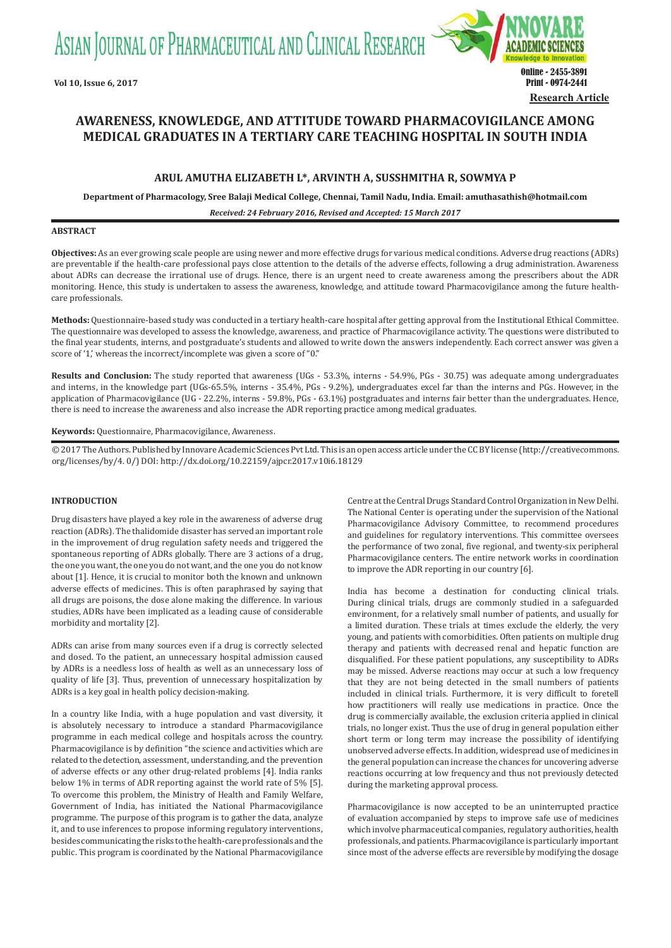ASIAN JOURNAL OF PHARMACEUTICAL AND CLINICAL RESEARCH



# **AWARENESS, KNOWLEDGE, AND ATTITUDE TOWARD PHARMACOVIGILANCE AMONG MEDICAL GRADUATES IN A TERTIARY CARE TEACHING HOSPITAL IN SOUTH INDIA**

## **ARUL AMUTHA ELIZABETH L\*, ARVINTH A, SUSSHMITHA R, SOWMYA P**

**Department of Pharmacology, Sree Balaji Medical College, Chennai, Tamil Nadu, India. Email: amuthasathish@hotmail.com**

*Received: 24 February 2016, Revised and Accepted: 15 March 2017*

## **ABSTRACT**

**Objectives:** As an ever growing scale people are using newer and more effective drugs for various medical conditions. Adverse drug reactions (ADRs) are preventable if the health-care professional pays close attention to the details of the adverse effects, following a drug administration. Awareness about ADRs can decrease the irrational use of drugs. Hence, there is an urgent need to create awareness among the prescribers about the ADR monitoring. Hence, this study is undertaken to assess the awareness, knowledge, and attitude toward Pharmacovigilance among the future healthcare professionals.

**Methods:** Questionnaire-based study was conducted in a tertiary health-care hospital after getting approval from the Institutional Ethical Committee. The questionnaire was developed to assess the knowledge, awareness, and practice of Pharmacovigilance activity. The questions were distributed to the final year students, interns, and postgraduate's students and allowed to write down the answers independently. Each correct answer was given a score of '1,' whereas the incorrect/incomplete was given a score of "0."

**Results and Conclusion:** The study reported that awareness (UGs - 53.3%, interns - 54.9%, PGs - 30.75) was adequate among undergraduates and interns, in the knowledge part (UGs-65.5%, interns - 35.4%, PGs - 9.2%), undergraduates excel far than the interns and PGs. However, in the application of Pharmacovigilance (UG - 22.2%, interns - 59.8%, PGs - 63.1%) postgraduates and interns fair better than the undergraduates. Hence, there is need to increase the awareness and also increase the ADR reporting practice among medical graduates.

**Keywords:** Questionnaire, Pharmacovigilance, Awareness.

© 2017 The Authors. Published by Innovare Academic Sciences Pvt Ltd. This is an open access article under the CC BY license (http://creativecommons. org/licenses/by/4. 0/) DOI: http://dx.doi.org/10.22159/ajpcr.2017.v10i6.18129

## **INTRODUCTION**

Drug disasters have played a key role in the awareness of adverse drug reaction (ADRs). The thalidomide disaster has served an important role in the improvement of drug regulation safety needs and triggered the spontaneous reporting of ADRs globally. There are 3 actions of a drug, the one you want, the one you do not want, and the one you do not know about [1]. Hence, it is crucial to monitor both the known and unknown adverse effects of medicines. This is often paraphrased by saying that all drugs are poisons, the dose alone making the difference. In various studies, ADRs have been implicated as a leading cause of considerable morbidity and mortality [2].

ADRs can arise from many sources even if a drug is correctly selected and dosed. To the patient, an unnecessary hospital admission caused by ADRs is a needless loss of health as well as an unnecessary loss of quality of life [3]. Thus, prevention of unnecessary hospitalization by ADRs is a key goal in health policy decision-making.

In a country like India, with a huge population and vast diversity, it is absolutely necessary to introduce a standard Pharmacovigilance programme in each medical college and hospitals across the country. Pharmacovigilance is by definition "the science and activities which are related to the detection, assessment, understanding, and the prevention of adverse effects or any other drug-related problems [4]. India ranks below 1% in terms of ADR reporting against the world rate of 5% [5]. To overcome this problem, the Ministry of Health and Family Welfare, Government of India, has initiated the National Pharmacovigilance programme. The purpose of this program is to gather the data, analyze it, and to use inferences to propose informing regulatory interventions, besides communicating the risks to the health-care professionals and the public. This program is coordinated by the National Pharmacovigilance Centre at the Central Drugs Standard Control Organization in New Delhi. The National Center is operating under the supervision of the National Pharmacovigilance Advisory Committee, to recommend procedures and guidelines for regulatory interventions. This committee oversees the performance of two zonal, five regional, and twenty-six peripheral Pharmacovigilance centers. The entire network works in coordination to improve the ADR reporting in our country [6].

India has become a destination for conducting clinical trials. During clinical trials, drugs are commonly studied in a safeguarded environment, for a relatively small number of patients, and usually for a limited duration. These trials at times exclude the elderly, the very young, and patients with comorbidities. Often patients on multiple drug therapy and patients with decreased renal and hepatic function are disqualified. For these patient populations, any susceptibility to ADRs may be missed. Adverse reactions may occur at such a low frequency that they are not being detected in the small numbers of patients included in clinical trials. Furthermore, it is very difficult to foretell how practitioners will really use medications in practice. Once the drug is commercially available, the exclusion criteria applied in clinical trials, no longer exist. Thus the use of drug in general population either short term or long term may increase the possibility of identifying unobserved adverse effects. In addition, widespread use of medicines in the general population can increase the chances for uncovering adverse reactions occurring at low frequency and thus not previously detected during the marketing approval process.

Pharmacovigilance is now accepted to be an uninterrupted practice of evaluation accompanied by steps to improve safe use of medicines which involve pharmaceutical companies, regulatory authorities, health professionals, and patients. Pharmacovigilance is particularly important since most of the adverse effects are reversible by modifying the dosage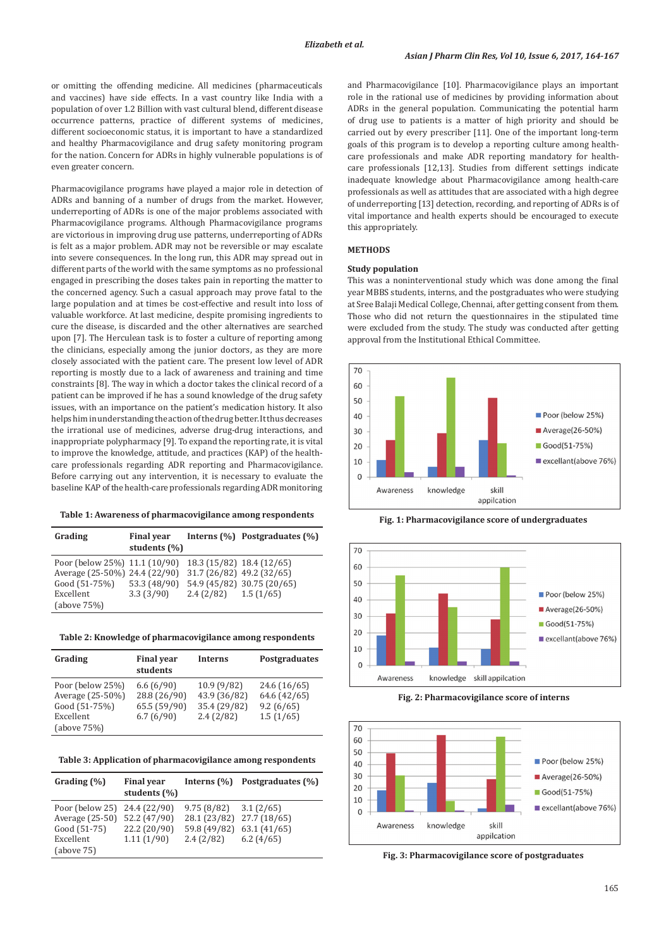or omitting the offending medicine. All medicines (pharmaceuticals and vaccines) have side effects. In a vast country like India with a population of over 1.2 Billion with vast cultural blend, different disease occurrence patterns, practice of different systems of medicines, different socioeconomic status, it is important to have a standardized and healthy Pharmacovigilance and drug safety monitoring program for the nation. Concern for ADRs in highly vulnerable populations is of even greater concern.

Pharmacovigilance programs have played a major role in detection of ADRs and banning of a number of drugs from the market. However, underreporting of ADRs is one of the major problems associated with Pharmacovigilance programs. Although Pharmacovigilance programs are victorious in improving drug use patterns, underreporting of ADRs is felt as a major problem. ADR may not be reversible or may escalate into severe consequences. In the long run, this ADR may spread out in different parts of the world with the same symptoms as no professional engaged in prescribing the doses takes pain in reporting the matter to the concerned agency. Such a casual approach may prove fatal to the large population and at times be cost-effective and result into loss of valuable workforce. At last medicine, despite promising ingredients to cure the disease, is discarded and the other alternatives are searched upon [7]. The Herculean task is to foster a culture of reporting among the clinicians, especially among the junior doctors, as they are more closely associated with the patient care. The present low level of ADR reporting is mostly due to a lack of awareness and training and time constraints [8]. The way in which a doctor takes the clinical record of a patient can be improved if he has a sound knowledge of the drug safety issues, with an importance on the patient's medication history. It also helps him in understanding the action of the drug better. It thus decreases the irrational use of medicines, adverse drug-drug interactions, and inappropriate polypharmacy [9]. To expand the reporting rate, it is vital to improve the knowledge, attitude, and practices (KAP) of the healthcare professionals regarding ADR reporting and Pharmacovigilance. Before carrying out any intervention, it is necessary to evaluate the baseline KAP of the health-care professionals regarding ADR monitoring

| Table 1: Awareness of pharmacovigilance among respondents |  |  |
|-----------------------------------------------------------|--|--|
|-----------------------------------------------------------|--|--|

| Grading                                                                                                     | <b>Final year</b><br>students (%) |                                                                                   | Interns $(\% )$ Postgraduates $(\% )$ |
|-------------------------------------------------------------------------------------------------------------|-----------------------------------|-----------------------------------------------------------------------------------|---------------------------------------|
| Poor (below 25%) 11.1 (10/90)<br>Average (25-50%) 24.4 (22/90)<br>Good (51-75%)<br>Excellent<br>(above 75%) | 53.3 (48/90)<br>3.3(3/90)         | 18.3 (15/82) 18.4 (12/65)<br>31.7 (26/82) 49.2 (32/65)<br>$2.4(2/82)$ $1.5(1/65)$ | 54.9 (45/82) 30.75 (20/65)            |

| Table 2: Knowledge of pharmacovigilance among respondents |  |
|-----------------------------------------------------------|--|
|                                                           |  |

| Grading                                                                           | <b>Final year</b><br>students                          | <b>Interns</b>                                           | Postgraduates                                          |
|-----------------------------------------------------------------------------------|--------------------------------------------------------|----------------------------------------------------------|--------------------------------------------------------|
| Poor (below 25%)<br>Average (25-50%)<br>Good (51-75%)<br>Excellent<br>(above 75%) | 6.6(6/90)<br>28.8 (26/90)<br>65.5 (59/90)<br>6.7(6/90) | 10.9 (9/82)<br>43.9 (36/82)<br>35.4 (29/82)<br>2.4(2/82) | 24.6 (16/65)<br>64.6 (42/65)<br>9.2(6/65)<br>1.5(1/65) |

**Table 3: Application of pharmacovigilance among respondents**

| Grading $(\% )$                                                                              | <b>Final year</b><br>students (%)          | Interns $(\% )$                                         | Postgraduates (%)                                     |
|----------------------------------------------------------------------------------------------|--------------------------------------------|---------------------------------------------------------|-------------------------------------------------------|
| Poor (below 25) 24.4 (22/90)<br>Average $(25-50)$<br>Good (51-75)<br>Excellent<br>(above 75) | 52.2 (47/90)<br>22.2 (20/90)<br>1.11(1/90) | 9.75(8/82)<br>28.1 (23/82)<br>59.8 (49/82)<br>2.4(2/82) | 3.1(2/65)<br>27.7(18/65)<br>63.1 (41/65)<br>6.2(4/65) |

and Pharmacovigilance [10]. Pharmacovigilance plays an important role in the rational use of medicines by providing information about ADRs in the general population. Communicating the potential harm of drug use to patients is a matter of high priority and should be carried out by every prescriber [11]. One of the important long-term goals of this program is to develop a reporting culture among healthcare professionals and make ADR reporting mandatory for healthcare professionals [12,13]. Studies from different settings indicate inadequate knowledge about Pharmacovigilance among health-care professionals as well as attitudes that are associated with a high degree of underreporting [13] detection, recording, and reporting of ADRs is of vital importance and health experts should be encouraged to execute this appropriately.

## **METHODS**

#### **Study population**

This was a noninterventional study which was done among the final year MBBS students, interns, and the postgraduates who were studying at Sree Balaji Medical College, Chennai, after getting consent from them. Those who did not return the questionnaires in the stipulated time were excluded from the study. The study was conducted after getting approval from the Institutional Ethical Committee.



**Fig. 1: Pharmacovigilance score of undergraduates**



**Fig. 2: Pharmacovigilance score of interns**



**Fig. 3: Pharmacovigilance score of postgraduates**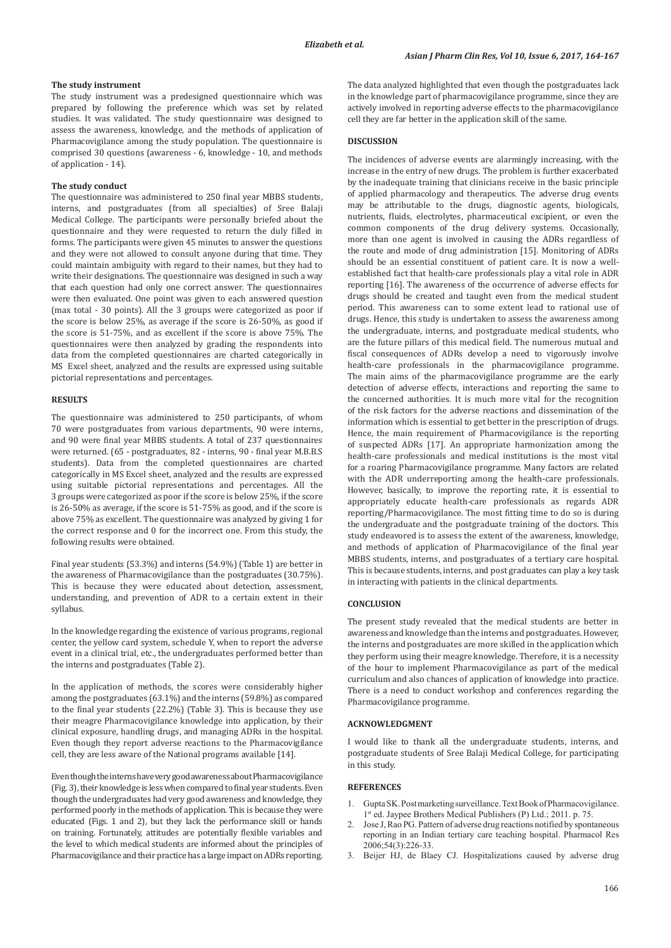### **The study instrument**

The study instrument was a predesigned questionnaire which was prepared by following the preference which was set by related studies. It was validated. The study questionnaire was designed to assess the awareness, knowledge, and the methods of application of Pharmacovigilance among the study population. The questionnaire is comprised 30 questions (awareness - 6, knowledge - 10, and methods of application - 14).

#### **The study conduct**

The questionnaire was administered to 250 final year MBBS students, interns, and postgraduates (from all specialties) of Sree Balaji Medical College. The participants were personally briefed about the questionnaire and they were requested to return the duly filled in forms. The participants were given 45 minutes to answer the questions and they were not allowed to consult anyone during that time. They could maintain ambiguity with regard to their names, but they had to write their designations. The questionnaire was designed in such a way that each question had only one correct answer. The questionnaires were then evaluated. One point was given to each answered question (max total - 30 points). All the 3 groups were categorized as poor if the score is below 25%, as average if the score is 26-50%, as good if the score is 51-75%, and as excellent if the score is above 75%. The questionnaires were then analyzed by grading the respondents into data from the completed questionnaires are charted categorically in MS Excel sheet, analyzed and the results are expressed using suitable pictorial representations and percentages.

#### **RESULTS**

The questionnaire was administered to 250 participants, of whom 70 were postgraduates from various departments, 90 were interns, and 90 were final year MBBS students. A total of 237 questionnaires were returned. (65 - postgraduates, 82 - interns, 90 - final year M.B.B.S students). Data from the completed questionnaires are charted categorically in MS Excel sheet, analyzed and the results are expressed using suitable pictorial representations and percentages. All the 3 groups were categorized as poor if the score is below 25%, if the score is 26-50% as average, if the score is 51-75% as good, and if the score is above 75% as excellent. The questionnaire was analyzed by giving 1 for the correct response and 0 for the incorrect one. From this study, the following results were obtained.

Final year students (53.3%) and interns (54.9%) (Table 1) are better in the awareness of Pharmacovigilance than the postgraduates (30.75%). This is because they were educated about detection, assessment, understanding, and prevention of ADR to a certain extent in their syllabus.

In the knowledge regarding the existence of various programs, regional center, the yellow card system, schedule Y, when to report the adverse event in a clinical trial, etc., the undergraduates performed better than the interns and postgraduates (Table 2).

In the application of methods, the scores were considerably higher among the postgraduates (63.1%) and the interns (59.8%) as compared to the final year students (22.2%) (Table 3). This is because they use their meagre Pharmacovigilance knowledge into application, by their clinical exposure, handling drugs, and managing ADRs in the hospital. Even though they report adverse reactions to the Pharmacovigilance cell, they are less aware of the National programs available [14].

Even though the interns have very good awareness about Pharmacovigilance (Fig. 3), their knowledge is less when compared to final year students. Even though the undergraduates had very good awareness and knowledge, they performed poorly in the methods of application. This is because they were educated (Figs. 1 and 2), but they lack the performance skill or hands on training. Fortunately, attitudes are potentially flexible variables and the level to which medical students are informed about the principles of Pharmacovigilance and their practice has a large impact on ADRs reporting.

The data analyzed highlighted that even though the postgraduates lack in the knowledge part of pharmacovigilance programme, since they are actively involved in reporting adverse effects to the pharmacovigilance cell they are far better in the application skill of the same.

## **DISCUSSION**

The incidences of adverse events are alarmingly increasing, with the increase in the entry of new drugs. The problem is further exacerbated by the inadequate training that clinicians receive in the basic principle of applied pharmacology and therapeutics. The adverse drug events may be attributable to the drugs, diagnostic agents, biologicals, nutrients, fluids, electrolytes, pharmaceutical excipient, or even the common components of the drug delivery systems. Occasionally, more than one agent is involved in causing the ADRs regardless of the route and mode of drug administration [15]. Monitoring of ADRs should be an essential constituent of patient care. It is now a wellestablished fact that health-care professionals play a vital role in ADR reporting [16]. The awareness of the occurrence of adverse effects for drugs should be created and taught even from the medical student period. This awareness can to some extent lead to rational use of drugs. Hence, this study is undertaken to assess the awareness among the undergraduate, interns, and postgraduate medical students, who are the future pillars of this medical field. The numerous mutual and fiscal consequences of ADRs develop a need to vigorously involve health-care professionals in the pharmacovigilance programme. The main aims of the pharmacovigilance programme are the early detection of adverse effects, interactions and reporting the same to the concerned authorities. It is much more vital for the recognition of the risk factors for the adverse reactions and dissemination of the information which is essential to get better in the prescription of drugs. Hence, the main requirement of Pharmacovigilance is the reporting of suspected ADRs [17]. An appropriate harmonization among the health-care professionals and medical institutions is the most vital for a roaring Pharmacovigilance programme. Many factors are related with the ADR underreporting among the health-care professionals. However, basically, to improve the reporting rate, it is essential to appropriately educate health-care professionals as regards ADR reporting/Pharmacovigilance. The most fitting time to do so is during the undergraduate and the postgraduate training of the doctors. This study endeavored is to assess the extent of the awareness, knowledge, and methods of application of Pharmacovigilance of the final year MBBS students, interns, and postgraduates of a tertiary care hospital. This is because students, interns, and post graduates can play a key task in interacting with patients in the clinical departments.

#### **CONCLUSION**

The present study revealed that the medical students are better in awareness and knowledge than the interns and postgraduates. However, the interns and postgraduates are more skilled in the application which they perform using their meagre knowledge. Therefore, it is a necessity of the hour to implement Pharmacovigilance as part of the medical curriculum and also chances of application of knowledge into practice. There is a need to conduct workshop and conferences regarding the Pharmacovigilance programme.

#### **ACKNOWLEDGMENT**

I would like to thank all the undergraduate students, interns, and postgraduate students of Sree Balaji Medical College, for participating in this study.

#### **REFERENCES**

- 1. Gupta SK. Post marketing surveillance. Text Book of Pharmacovigilance. 1<sup>st</sup> ed. Jaypee Brothers Medical Publishers (P) Ltd.; 2011. p. 75.
- 2. Jose J, Rao PG. Pattern of adverse drug reactions notified by spontaneous reporting in an Indian tertiary care teaching hospital. Pharmacol Res 2006;54(3):226-33.
- 3. Beijer HJ, de Blaey CJ. Hospitalizations caused by adverse drug